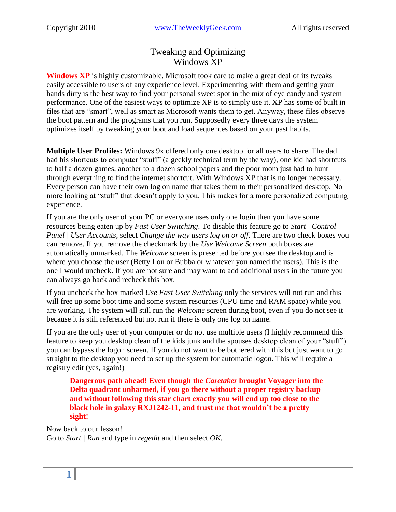# Tweaking and Optimizing Windows XP

**Windows XP** is highly customizable. Microsoft took care to make a great deal of its tweaks easily accessible to users of any experience level. Experimenting with them and getting your hands dirty is the best way to find your personal sweet spot in the mix of eye candy and system performance. One of the easiest ways to optimize XP is to simply use it. XP has some of built in files that are "smart", well as smart as Microsoft wants them to get. Anyway, these files observe the boot pattern and the programs that you run. Supposedly every three days the system optimizes itself by tweaking your boot and load sequences based on your past habits.

**Multiple User Profiles:** Windows 9x offered only one desktop for all users to share. The dad had his shortcuts to computer "stuff" (a geekly technical term by the way), one kid had shortcuts to half a dozen games, another to a dozen school papers and the poor mom just had to hunt through everything to find the internet shortcut. With Windows XP that is no longer necessary. Every person can have their own log on name that takes them to their personalized desktop. No more looking at "stuff" that doesn't apply to you. This makes for a more personalized computing experience.

If you are the only user of your PC or everyone uses only one login then you have some resources being eaten up by *Fast User Switching*. To disable this feature go to *Start | Control Panel | User Accounts,* select *Change the way users log on or off*. There are two check boxes you can remove. If you remove the checkmark by the *Use Welcome Screen* both boxes are automatically unmarked. The *Welcome* screen is presented before you see the desktop and is where you choose the user (Betty Lou or Bubba or whatever you named the users). This is the one I would uncheck. If you are not sure and may want to add additional users in the future you can always go back and recheck this box.

If you uncheck the box marked *Use Fast User Switching* only the services will not run and this will free up some boot time and some system resources (CPU time and RAM space) while you are working. The system will still run the *Welcome* screen during boot, even if you do not see it because it is still referenced but not run if there is only one log on name.

If you are the only user of your computer or do not use multiple users (I highly recommend this feature to keep you desktop clean of the kids junk and the spouses desktop clean of your "stuff") you can bypass the logon screen. If you do not want to be bothered with this but just want to go straight to the desktop you need to set up the system for automatic logon. This will require a registry edit (yes, again!)

**Dangerous path ahead! Even though the** *Caretaker* **brought Voyager into the Delta quadrant unharmed, if you go there without a proper registry backup and without following this star chart exactly you will end up too close to the black hole in galaxy RXJ1242-11, and trust me that wouldn't be a pretty sight!**

Now back to our lesson! Go to *Start | Run* and type in *regedit* and then select *OK.*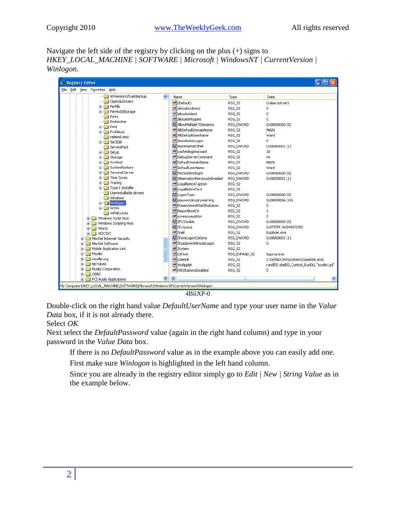Navigate the left side of the registry by clicking on the plus (+) signs to *HKEY\_LOCAL\_MACHINE | SOFTWARE | Microsoft | WindowsNT | CurrentVersion | Winlogon.*

| <b>B</b> Registry Editor                                                             |  |                                        |               |                                              |
|--------------------------------------------------------------------------------------|--|----------------------------------------|---------------|----------------------------------------------|
| File Edit View Favorites Help                                                        |  |                                        |               |                                              |
| NTVersionOfLastBackup                                                                |  | Name                                   | Type          | Data                                         |
| OpenGLDrivers<br><b>E Perflib</b>                                                    |  | ab](Default)                           | REG SZ        | (value not set)                              |
| PerHwIdStorage<br>$\blacksquare$                                                     |  | ab]allocatecdroms                      | REG_SZ        | 0                                            |
| Ports                                                                                |  | ab allocatedasd                        | REG SZ        | 0                                            |
| Prefetcher                                                                           |  | ab]allocatefloppies                    | REG SZ        | 0                                            |
| $\blacksquare$ Print                                                                 |  | <b>85</b> AllowMultipleTSSessions      | REG DWORD     | 0x00000000 (0)                               |
| <b>E ProfileList</b>                                                                 |  | ab AltDefaultDomainName                | REG_SZ        | MAIN                                         |
| related.desc                                                                         |  | ab] AltDefaultUserName                 | REG SZ        | Ward                                         |
| <b>El SeCEdit</b>                                                                    |  | ab] AutoAdminLogon                     | REG_SZ        | 0                                            |
| ServicePack                                                                          |  | <b>89</b> AutoRestartShell             | REG_DWORD     | $0 \times 00000001(1)$                       |
| E Setup                                                                              |  | eb]cachedlogonscount                   | REG SZ        | 10                                           |
| E Storage                                                                            |  | ab]DebugServerCommand                  | REG SZ        | no                                           |
| E SycHost                                                                            |  | ab DefaultDomainName                   | REG SZ        | MAIN                                         |
| SystemRestore                                                                        |  | ab]DefaultUserName                     | REG_SZ        | Ward                                         |
| <b>E</b> Terminal Server                                                             |  | <b>RU</b> forceunlocklogon             | REG DWORD     | 0x00000000 (0)                               |
| <b>E</b> Time Zones                                                                  |  | <b>BU</b> HibernationPreviouslyEnabled | REG_DWORD     | 0x00000001(1)                                |
| El- <b>Bill</b> Tracing                                                              |  | ab LegalNoticeCaption                  | REG_SZ        |                                              |
| Type 1 Installer                                                                     |  | ab]LegalNoticeText                     | REG_SZ        |                                              |
| Userinstallable.drivers                                                              |  | <b>By</b> LogonType                    | REG DWORD     | 0x00000000 (0)                               |
| Windows                                                                              |  | <b>85</b> passwordexpirywarning        | REG_DWORD     | 0x0000000e (14)                              |
| <b>Ei</b> -Ca Winlogon                                                               |  | ab]PowerdownAfterShutdown              | REG_SZ        | 0                                            |
| <b>NOW</b><br><b>Time</b>                                                            |  | <b>관</b> ReportBootOk                  | REG SZ        | $\mathbf{1}$                                 |
| WPAEvents<br>Windows Script Host                                                     |  | scremoveoption                         | REG_SZ        | 0                                            |
| Windows Scripting Host<br>田                                                          |  | <b>BU</b> SFCDisable                   | REG DWORD     | 0x00000000 (0)                               |
| Works<br>国                                                                           |  | <b>BU</b> SfcQuota                     | REG_DWORD     | 0xffffffff (4294967295)                      |
| <b>WZCSVC</b>                                                                        |  | ab]Shell                               | REG SZ        | Explorer.exe                                 |
| Mischel Internet Security<br>Œ                                                       |  | <b>RU</b> ShowLogonOptions             | REG DWORD     | 0x00000001(1)                                |
| Mischel Software<br>$\blacksquare$                                                   |  | ab]ShutdownWithoutLogon                | REG_SZ        | 0                                            |
| Mobile Application Link<br>Ð                                                         |  | ab]System                              | REG_SZ        |                                              |
| Mozilla                                                                              |  | ab UIHost                              | REG EXPAND SZ | logonui.exe                                  |
| mozilla.org                                                                          |  | ab Userinit                            | REG SZ        | C:\WINDOWS\system32\userinit.exe,            |
| NETGEAR<br>⊞                                                                         |  | ab] vmApplet                           | REG_SZ        | rundll32 shell32, Control_RunDLL "sysdm.cpl" |
| Nvidia Corporation<br>国                                                              |  | ab] WinStationsDisabled                | REG SZ        | 0                                            |
| $\Box$ ODBC<br>由                                                                     |  |                                        |               |                                              |
| <b>El-Bill PCI Audio Applications</b>                                                |  |                                        |               |                                              |
| My Computer\HKEY_LOCAL_MACHINE\SOFTWARE\Microsoft\Windows NT\CurrentVersion\Winlogon |  |                                        |               |                                              |

4BiiXP-0

Double-click on the right hand value *DefaultUserName* and type your user name in the *Value Data* box, if it is not already there.

#### Select *OK*

Next select the *DefaultPassword* value (again in the right hand column) and type in your password in the *Value Data* box.

If there is no *DefaultPassword* value as in the example above you can easily add one.

First make sure *Winlogon* is highlighted in the left hand column.

Since you are already in the registry editor simply go to *Edit | New | String Value* as in the example below.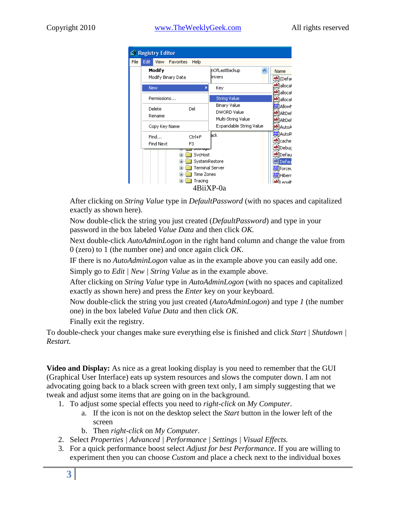|           | <b>Registry Editor</b>                               |                                              |                                                          |                                                |  |
|-----------|------------------------------------------------------|----------------------------------------------|----------------------------------------------------------|------------------------------------------------|--|
| File      | Edit<br>View -                                       | Favorites<br>Help                            |                                                          |                                                |  |
|           | Modify<br>Modify Binary Data                         |                                              | hOfLastBackup<br>Drivers                                 | Name<br><mark>ෂ</mark> ්)(Defai                |  |
|           | <b>New</b>                                           |                                              | Key                                                      | ab]allocal<br>ab]allocal                       |  |
|           | Permissions                                          |                                              | <b>String Value</b>                                      | ab]allocal                                     |  |
|           | Delete<br>Rename                                     | Del                                          | Binary Value<br><b>DWORD Value</b><br>Multi-String Value | <b>RU</b> Allown<br>ab]AltDef<br>ab]AltDef     |  |
|           | Copy Key Name                                        |                                              | Expandable String Value                                  | ab] AutoA                                      |  |
|           | Find<br>Find Next                                    | Ctrl+F<br>F3                                 | <b>a</b> ck                                              | <b>BU</b> AutoR<br><b>ঌ</b> lcache<br>ab]Debuc |  |
|           | vonugo<br>SvcHost<br>$\overline{+}$<br>SystemRestore |                                              |                                                          | ab]Defau<br>abi Defau                          |  |
|           | Terminal Server                                      |                                              |                                                          | <b>Rig</b> forcet                              |  |
|           |                                                      | Time Zones<br>$\overline{+}$<br>Tracing<br>Ŧ |                                                          | <b>RU</b> Hiberr<br>ab]I enall                 |  |
| 4BiiXP-0a |                                                      |                                              |                                                          |                                                |  |

After clicking on *String Value* type in *DefaultPassword* (with no spaces and capitalized exactly as shown here).

Now double-click the string you just created (*DefaultPassword*) and type in your password in the box labeled *Value Data* and then click *OK.*

Next double-click *AutoAdminLogon* in the right hand column and change the value from 0 (zero) to 1 (the number one) and once again click *OK*.

IF there is no *AutoAdminLogon* value as in the example above you can easily add one.

Simply go to *Edit | New | String Value* as in the example above.

After clicking on *String Value* type in *AutoAdminLogon* (with no spaces and capitalized exactly as shown here) and press the *Enter* key on your keyboard.

Now double-click the string you just created (*AutoAdminLogon*) and type *1* (the number one) in the box labeled *Value Data* and then click *OK.*

Finally exit the registry.

To double-check your changes make sure everything else is finished and click *Start | Shutdown | Restart.*

**Video and Display:** As nice as a great looking display is you need to remember that the GUI (Graphical User Interface) eats up system resources and slows the computer down. I am not advocating going back to a black screen with green text only, I am simply suggesting that we tweak and adjust some items that are going on in the background.

1. To adjust some special effects you need to *right-click* on *My Computer*.

- a. If the icon is not on the desktop select the *Start* button in the lower left of the screen
- b. Then *right-click* on *My Computer*.
- 2. Select *Properties | Advanced | Performance | Settings | Visual Effects.*
- 3. For a quick performance boost select *Adjust for best Performance*. If you are willing to experiment then you can choose *Custom* and place a check next to the individual boxes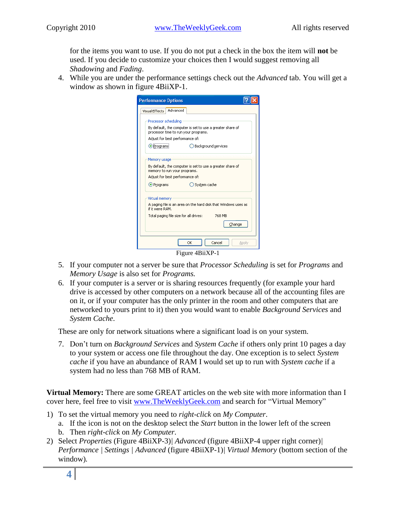for the items you want to use. If you do not put a check in the box the item will **not** be used. If you decide to customize your choices then I would suggest removing all *Shadowing* and *Fading*.

4. While you are under the performance settings check out the *Advanced* tab. You will get a window as shown in figure 4BiiXP-1.

| <b>Performance Options</b>                                   |                                                                |
|--------------------------------------------------------------|----------------------------------------------------------------|
| Advanced<br><b>Visual Effects</b>                            |                                                                |
| Processor scheduling<br>processor time to run your programs. | By default, the computer is set to use a greater share of      |
| Adjust for best performance of:                              |                                                                |
| <b>O</b> Programs                                            | Background services                                            |
| Memory usage                                                 |                                                                |
| memory to run your programs.                                 | By default, the computer is set to use a greater share of      |
| Adjust for best performance of:                              |                                                                |
| O Programs                                                   | System cache                                                   |
| Virtual memory                                               |                                                                |
| if it were RAM.                                              | A paging file is an area on the hard disk that Windows uses as |
| Total paging file size for all drives:                       | 768 MB                                                         |
|                                                              | Change                                                         |
|                                                              | Cancel<br>OK<br>Apply                                          |
|                                                              |                                                                |

Figure 4BiiXP-1

- 5. If your computer not a server be sure that *Processor Scheduling* is set for *Programs* and *Memory Usage* is also set for *Programs.*
- 6. If your computer is a server or is sharing resources frequently (for example your hard drive is accessed by other computers on a network because all of the accounting files are on it, or if your computer has the only printer in the room and other computers that are networked to yours print to it) then you would want to enable *Background Services* and *System Cache*.

These are only for network situations where a significant load is on your system.

7. Don't turn on *Background Services* and *System Cache* if others only print 10 pages a day to your system or access one file throughout the day. One exception is to select *System cache* if you have an abundance of RAM I would set up to run with *System cache* if a system had no less than 768 MB of RAM.

**Virtual Memory:** There are some GREAT articles on the web site with more information than I cover here, feel free to visit [www.TheWeeklyGeek.com](http://www.theweeklygeek.com/) and search for "Virtual Memory"

- 1) To set the virtual memory you need to *right-click* on *My Computer*.
	- a. If the icon is not on the desktop select the *Start* button in the lower left of the screen b. Then *right-click* on *My Computer*.
- 2) Select *Properties* (Figure 4BiiXP-3)*| Advanced* (figure 4BiiXP-4 upper right corner)*| Performance | Settings | Advanced* (figure 4BiiXP-1)*| Virtual Memory* (bottom section of the window)*.*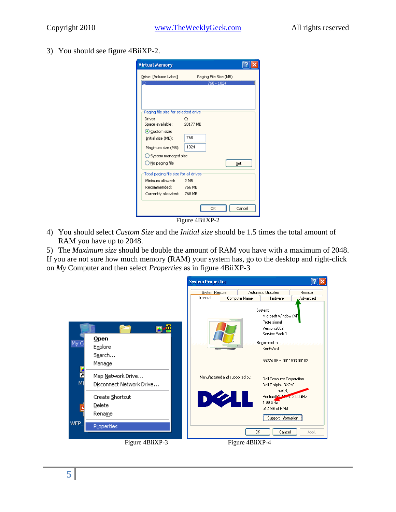3) You should see figure 4BiiXP-2.

| <b>Virtual Memory</b>                 |                       |
|---------------------------------------|-----------------------|
| Drive [Volume Label]                  | Paging File Size (MB) |
| C.                                    | 768 - 1024            |
|                                       |                       |
|                                       |                       |
|                                       |                       |
| Paging file size for selected drive   |                       |
| Drive:                                | C:                    |
| Space available:                      | 28177 MB              |
| Custom size:                          |                       |
| Initial size (MB):                    | 768                   |
| Maximum size (MB):                    | 1024                  |
| ◯ System managed size                 |                       |
| O No paging file                      | Set                   |
| Total paging file size for all drives |                       |
| Minimum allowed:                      | 2 MB                  |
| Recommended: 766 MB                   |                       |
| Currently allocated: 768 MB           |                       |
|                                       |                       |
|                                       | Cancel<br>OK          |
|                                       | Figure 4BiiXP-2       |

4) You should select *Custom Size* and the *Initial size* should be 1.5 times the total amount of RAM you have up to 2048.

5) The *Maximum size* should be double the amount of RAM you have with a maximum of 2048. If you are not sure how much memory (RAM) your system has, go to the desktop and right-click on *My* Computer and then select *Properties* as in figure 4BiiXP-3

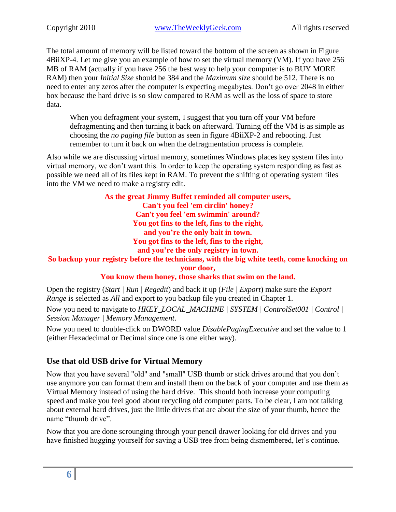The total amount of memory will be listed toward the bottom of the screen as shown in Figure 4BiiXP-4. Let me give you an example of how to set the virtual memory (VM). If you have 256 MB of RAM (actually if you have 256 the best way to help your computer is to BUY MORE RAM) then your *Initial Size* should be 384 and the *Maximum size* should be 512. There is no need to enter any zeros after the computer is expecting megabytes. Don't go over 2048 in either box because the hard drive is so slow compared to RAM as well as the loss of space to store data.

When you defragment your system, I suggest that you turn off your VM before defragmenting and then turning it back on afterward. Turning off the VM is as simple as choosing the *no paging file* button as seen in figure 4BiiXP-2 and rebooting. Just remember to turn it back on when the defragmentation process is complete.

Also while we are discussing virtual memory, sometimes Windows places key system files into virtual memory, we don't want this. In order to keep the operating system responding as fast as possible we need all of its files kept in RAM. To prevent the shifting of operating system files into the VM we need to make a registry edit.

> **As the great Jimmy Buffet reminded all computer users, Can't you feel 'em circlin' honey? Can't you feel 'em swimmin' around? You got fins to the left, fins to the right, and you're the only bait in town. You got fins to the left, fins to the right, and you're the only registry in town.**

**So backup your registry before the technicians, with the big white teeth, come knocking on your door,**

**You know them honey, those sharks that swim on the land.**

Open the registry (*Start | Run | Regedit*) and back it up (*File | Export*) make sure the *Export Range* is selected as *All* and export to you backup file you created in Chapter 1.

Now you need to navigate to *HKEY\_LOCAL\_MACHINE | SYSTEM | ControlSet001 | Control | Session Manager | Memory Management*.

Now you need to double-click on DWORD value *DisablePagingExecutive* and set the value to 1 (either Hexadecimal or Decimal since one is one either way).

## **Use that old USB drive for Virtual Memory**

Now that you have several "old" and "small" USB thumb or stick drives around that you don't use anymore you can format them and install them on the back of your computer and use them as Virtual Memory instead of using the hard drive. This should both increase your computing speed and make you feel good about recycling old computer parts. To be clear, I am not talking about external hard drives, just the little drives that are about the size of your thumb, hence the name "thumb drive".

Now that you are done scrounging through your pencil drawer looking for old drives and you have finished hugging yourself for saving a USB tree from being dismembered, let's continue.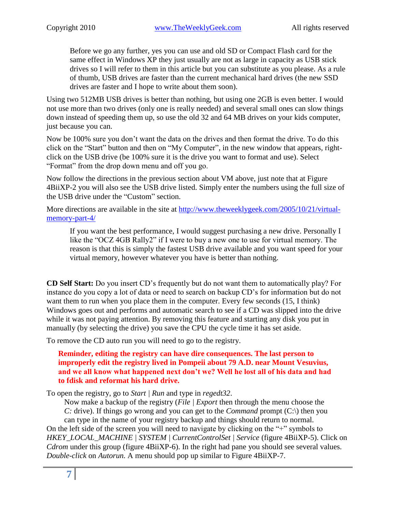Before we go any further, yes you can use and old SD or Compact Flash card for the same effect in Windows XP they just usually are not as large in capacity as USB stick drives so I will refer to them in this article but you can substitute as you please. As a rule of thumb, USB drives are faster than the current mechanical hard drives (the new SSD drives are faster and I hope to write about them soon).

Using two 512MB USB drives is better than nothing, but using one 2GB is even better. I would not use more than two drives (only one is really needed) and several small ones can slow things down instead of speeding them up, so use the old 32 and 64 MB drives on your kids computer, just because you can.

Now be 100% sure you don't want the data on the drives and then format the drive. To do this click on the "Start" button and then on "My Computer", in the new window that appears, rightclick on the USB drive (be 100% sure it is the drive you want to format and use). Select "Format" from the drop down menu and off you go.

Now follow the directions in the previous section about VM above, just note that at Figure 4BiiXP-2 you will also see the USB drive listed. Simply enter the numbers using the full size of the USB drive under the "Custom" section.

More directions are available in the site at [http://www.theweeklygeek.com/2005/10/21/virtual](http://www.theweeklygeek.com/2005/10/21/virtual-memory-part-4/)[memory-part-4/](http://www.theweeklygeek.com/2005/10/21/virtual-memory-part-4/)

If you want the best performance, I would suggest purchasing a new drive. Personally I like the "OCZ 4GB Rally2" if I were to buy a new one to use for virtual memory. The reason is that this is simply the fastest USB drive available and you want speed for your virtual memory, however whatever you have is better than nothing.

**CD Self Start:** Do you insert CD's frequently but do not want them to automatically play? For instance do you copy a lot of data or need to search on backup CD's for information but do not want them to run when you place them in the computer. Every few seconds  $(15, I)$  think) Windows goes out and performs and automatic search to see if a CD was slipped into the drive while it was not paying attention. By removing this feature and starting any disk you put in manually (by selecting the drive) you save the CPU the cycle time it has set aside.

To remove the CD auto run you will need to go to the registry.

**Reminder, editing the registry can have dire consequences. The last person to improperly edit the registry lived in Pompeii about 79 A.D. near Mount Vesuvius, and we all know what happened next don't we? Well he lost all of his data and had to fdisk and reformat his hard drive.**

To open the registry, go to *Start | Run* and type in *regedt32*.

Now make a backup of the registry (*File | Export* then through the menu choose the *C*: drive). If things go wrong and you can get to the *Command* prompt (C:\) then you can type in the name of your registry backup and things should return to normal. On the left side of the screen you will need to navigate by clicking on the "+" symbols to *HKEY\_LOCAL\_MACHINE | SYSTEM | CurrentControlSet | Service* (figure 4BiiXP-5). Click on *Cdrom* under this group (figure 4BiiXP-6). In the right had pane you should see several values. *Double-click* on *Autorun.* A menu should pop up similar to Figure 4BiiXP-7.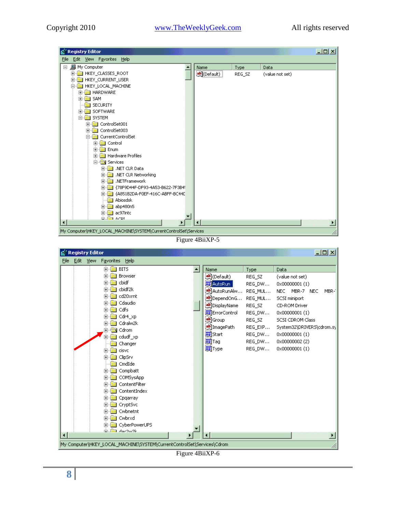

Figure 4BiiXP-5



Figure 4BiiXP-6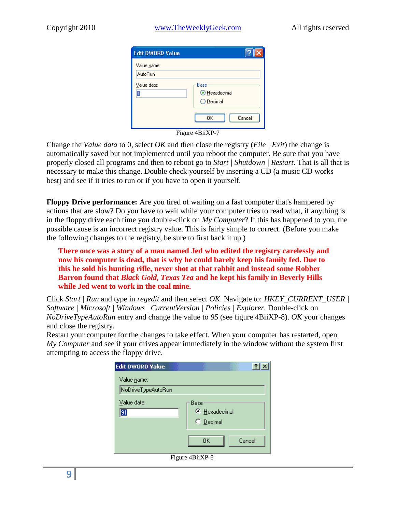| <b>Edit DWORD Value</b> |                                           |
|-------------------------|-------------------------------------------|
| Value name:<br>AutoRun  |                                           |
| Value data:             | Base<br><b>O</b> Hexadecimal<br>◯ Decimal |
|                         | Cancel<br>OΚ                              |

Figure 4BiiXP-7

Change the *Value data* to 0, select *OK* and then close the registry (*File | Exit*) the change is automatically saved but not implemented until you reboot the computer. Be sure that you have properly closed all programs and then to reboot go to *Start | Shutdown | Restart*. That is all that is necessary to make this change. Double check yourself by inserting a CD (a music CD works best) and see if it tries to run or if you have to open it yourself.

**Floppy Drive performance:** Are you tired of waiting on a fast computer that's hampered by actions that are slow? Do you have to wait while your computer tries to read what, if anything is in the floppy drive each time you double-click on *My Computer*? If this has happened to you, the possible cause is an incorrect registry value. This is fairly simple to correct. (Before you make the following changes to the registry, be sure to first back it up.)

**There once was a story of a man named Jed who edited the registry carelessly and now his computer is dead, that is why he could barely keep his family fed. Due to this he sold his hunting rifle, never shot at that rabbit and instead some Robber Barron found that** *Black Gold, Texas Tea* **and he kept his family in Beverly Hills while Jed went to work in the coal mine.**

Click *Start | Run* and type in *regedit* and then select *OK*. Navigate to: *HKEY\_CURRENT\_USER | Software | Microsoft | Windows | CurrentVersion | Policies | Explorer.* Double-click on *NoDriveTypeAutoRun* entry and change the value to *95* (see figure 4BiiXP-8). *OK* your changes and close the registry.

Restart your computer for the changes to take effect. When your computer has restarted, open *My Computer* and see if your drives appear immediately in the window without the system first attempting to access the floppy drive.

| <b>Edit DWORD Value</b>                   |                                           |        | ? x |
|-------------------------------------------|-------------------------------------------|--------|-----|
| Value <u>n</u> ame:<br>NoDriveTypeAutoRun |                                           |        |     |
| Value data:<br>91                         | <b>Base</b><br>E Hexadecimal<br>C Decimal |        |     |
|                                           | OK                                        | Cancel |     |
|                                           | Figure 4BiiXP-8                           |        |     |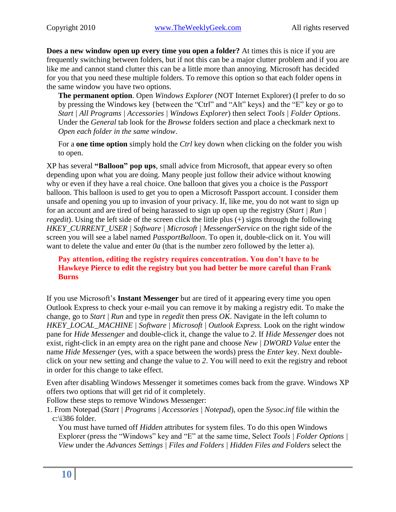**Does a new window open up every time you open a folder?** At times this is nice if you are frequently switching between folders, but if not this can be a major clutter problem and if you are like me and cannot stand clutter this can be a little more than annoying. Microsoft has decided for you that you need these multiple folders. To remove this option so that each folder opens in the same window you have two options.

**The permanent option**. Open *Windows Explorer* (NOT Internet Explorer) (I prefer to do so by pressing the Windows key {between the "Ctrl" and "Alt" keys} and the "E" key or go to *Start | All Programs | Accessories | Windows Explorer*) then select *Tools | Folder Options*. Under the *General* tab look for the *Browse* folders section and place a checkmark next to *Open each folder in the same window*.

For a **one time option** simply hold the *Ctrl* key down when clicking on the folder you wish to open.

XP has several **"Balloon" pop ups**, small advice from Microsoft, that appear every so often depending upon what you are doing. Many people just follow their advice without knowing why or even if they have a real choice. One balloon that gives you a choice is the *Passport* balloon. This balloon is used to get you to open a Microsoft Passport account. I consider them unsafe and opening you up to invasion of your privacy. If, like me, you do not want to sign up for an account and are tired of being harassed to sign up open up the registry (*Start | Run | regedit*). Using the left side of the screen click the little plus (+) signs through the following *HKEY\_CURRENT\_USER | Software | Microsoft | MessengerService* on the right side of the screen you will see a label named *PassportBalloon*. To open it, double-click on it. You will want to delete the value and enter *0a* (that is the number zero followed by the letter a).

#### **Pay attention, editing the registry requires concentration. You don't have to be Hawkeye Pierce to edit the registry but you had better be more careful than Frank Burns**

If you use Microsoft's **Instant Messenger** but are tired of it appearing every time you open Outlook Express to check your e-mail you can remove it by making a registry edit. To make the change, go to *Start | Run* and type in *regedit* then press *OK*. Navigate in the left column to *HKEY\_LOCAL\_MACHINE | Software | Microsoft | Outlook Express.* Look on the right window pane for *Hide Messenger* and double-click it, change the value to *2*. If *Hide Messenger* does not exist, right-click in an empty area on the right pane and choose *New | DWORD Value* enter the name *Hide Messenger* (yes, with a space between the words) press the *Enter* key. Next doubleclick on your new setting and change the value to *2*. You will need to exit the registry and reboot in order for this change to take effect.

Even after disabling Windows Messenger it sometimes comes back from the grave. Windows XP offers two options that will get rid of it completely.

Follow these steps to remove Windows Messenger:

1. From Notepad (*Start | Programs | Accessories | Notepad*), open the *Sysoc.inf* file within the c:\i386 folder.

You must have turned off *Hidden* attributes for system files. To do this open Windows Explorer (press the "Windows" key and "E" at the same time, Select *Tools | Folder Options | View* under the *Advances Settings | Files and Folders | Hidden Files and Folders* select the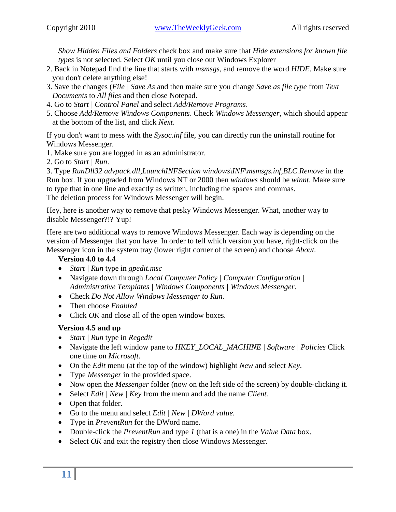*Show Hidden Files and Folders* check box and make sure that *Hide extensions for known file types* is not selected. Select *OK* until you close out Windows Explorer

- 2. Back in Notepad find the line that starts with *msmsgs*, and remove the word *HIDE*. Make sure you don't delete anything else!
- 3. Save the changes (*File | Save As* and then make sure you change *Save as file type* from *Text Documents* to *All files* and then close Notepad.
- 4. Go to *Start | Control Panel* and select *Add/Remove Programs*.
- 5. Choose *Add/Remove Windows Components*. Check *Windows Messenger*, which should appear at the bottom of the list, and click *Next*.

If you don't want to mess with the *Sysoc.inf* file, you can directly run the uninstall routine for Windows Messenger.

1. Make sure you are logged in as an administrator.

2. Go to *Start | Run*.

3. Type *RunDll32 advpack.dll,LaunchINFSection windows\INF\msmsgs.inf,BLC.Remove* in the Run box. If you upgraded from Windows NT or 2000 then *windows* should be *winnt*. Make sure to type that in one line and exactly as written, including the spaces and commas. The deletion process for Windows Messenger will begin.

Hey, here is another way to remove that pesky Windows Messenger. What, another way to disable Messenger?!? Yup!

Here are two additional ways to remove Windows Messenger. Each way is depending on the version of Messenger that you have. In order to tell which version you have, right-click on the Messenger icon in the system tray (lower right corner of the screen) and choose *About.*

#### **Version 4.0 to 4.4**

- *Start | Run* type in *gpedit.msc*
- Navigate down through *Local Computer Policy | Computer Configuration | Administrative Templates | Windows Components | Windows Messenger.*
- Check *Do Not Allow Windows Messenger to Run.*
- Then choose *Enabled*
- Click *OK* and close all of the open window boxes.

### **Version 4.5 and up**

- *Start | Run* type in *Regedit*
- Navigate the left window pane to *HKEY\_LOCAL\_MACHINE | Software | Policies* Click one time on *Microsoft.*
- On the *Edit* menu (at the top of the window) highlight *New* and select *Key*.
- Type *Messenger* in the provided space.
- Now open the *Messenger* folder (now on the left side of the screen) by double-clicking it.
- Select *Edit | New | Key* from the menu and add the name *Client.*
- Open that folder.
- Go to the menu and select *Edit | New | DWord value.*
- Type in *PreventRun* for the DWord name.
- Double-click the *PreventRun* and type *1* (that is a one) in the *Value Data* box.
- Select *OK* and exit the registry then close Windows Messenger.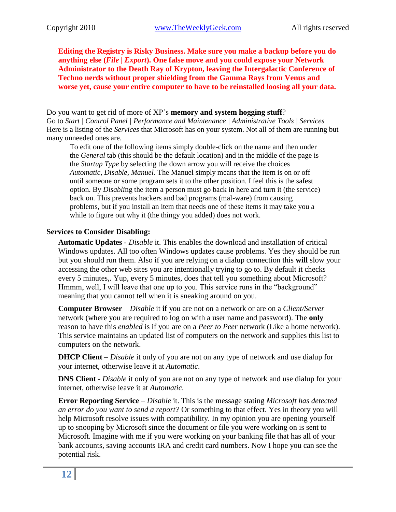**Editing the Registry is Risky Business. Make sure you make a backup before you do anything else (***File | Export***). One false move and you could expose your Network Administrator to the Death Ray of Krypton, leaving the Intergalactic Conference of Techno nerds without proper shielding from the Gamma Rays from Venus and worse yet, cause your entire computer to have to be reinstalled loosing all your data.**

Do you want to get rid of more of XP's **memory and system hogging stuff**? Go to *Start | Control Panel | Performance and Maintenance | Administrative Tools | Services* Here is a listing of the *Services* that Microsoft has on your system. Not all of them are running but many unneeded ones are.

To edit one of the following items simply double-click on the name and then under the *General* tab (this should be the default location) and in the middle of the page is the *Startup Type* by selecting the down arrow you will receive the choices *Automatic, Disable, Manuel*. The Manuel simply means that the item is on or off until someone or some program sets it to the other position. I feel this is the safest option. By *Disabli*ng the item a person must go back in here and turn it (the service) back on. This prevents hackers and bad programs (mal-ware) from causing problems, but if you install an item that needs one of these items it may take you a while to figure out why it (the thingy you added) does not work.

#### **Services to Consider Disabling:**

**Automatic Updates** - *Disable* it. This enables the download and installation of critical Windows updates. All too often Windows updates cause problems. Yes they should be run but you should run them. Also if you are relying on a dialup connection this **will** slow your accessing the other web sites you are intentionally trying to go to. By default it checks every 5 minutes,. Yup, every 5 minutes, does that tell you something about Microsoft? Hmmm, well, I will leave that one up to you. This service runs in the "background" meaning that you cannot tell when it is sneaking around on you.

**Computer Browser** – *Disable* it **if** you are not on a network or are on a *Client/Server* network (where you are required to log on with a user name and password). The **only** reason to have this *enabled* is if you are on a *Peer to Peer* network (Like a home network). This service maintains an updated list of computers on the network and supplies this list to computers on the network.

**DHCP Client** – *Disable* it only of you are not on any type of network and use dialup for your internet, otherwise leave it at *Automatic*.

**DNS Client** - *Disable* it only of you are not on any type of network and use dialup for your internet, otherwise leave it at *Automatic*.

**Error Reporting Service** – *Disable* it. This is the message stating *Microsoft has detected an error do you want to send a report?* Or something to that effect. Yes in theory you will help Microsoft resolve issues with compatibility. In my opinion you are opening yourself up to snooping by Microsoft since the document or file you were working on is sent to Microsoft. Imagine with me if you were working on your banking file that has all of your bank accounts, saving accounts IRA and credit card numbers. Now I hope you can see the potential risk.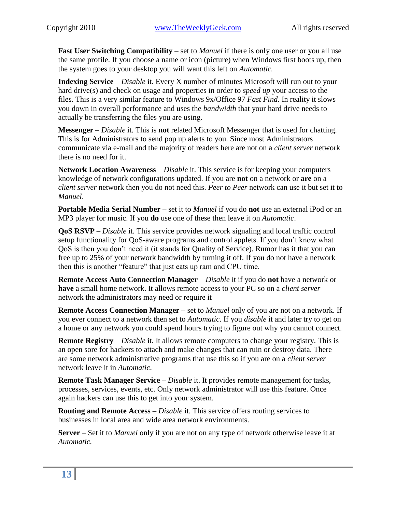**Fast User Switching Compatibility** – set to *Manuel* if there is only one user or you all use the same profile. If you choose a name or icon (picture) when Windows first boots up, then the system goes to your desktop you will want this left on *Automatic.*

**Indexing Service** – *Disable* it. Every X number of minutes Microsoft will run out to your hard drive(s) and check on usage and properties in order to *speed up* your access to the files. This is a very similar feature to Windows 9x/Office 97 *Fast Find*. In reality it slows you down in overall performance and uses the *bandwidth* that your hard drive needs to actually be transferring the files you are using.

**Messenger** – *Disable* it*.* This is **not** related Microsoft Messenger that is used for chatting. This is for Administrators to send pop up alerts to you. Since most Administrators communicate via e-mail and the majority of readers here are not on a *client server* network there is no need for it.

**Network Location Awareness** – *Disable* it. This service is for keeping your computers knowledge of network configurations updated. If you are **not** on a network or **are** on a *client server* network then you do not need this. *Peer to Peer* network can use it but set it to *Manuel*.

**Portable Media Serial Number** – set it to *Manuel* if you do **not** use an external iPod or an MP3 player for music. If you **do** use one of these then leave it on *Automatic*.

**QoS RSVP** – *Disable* it. This service provides network signaling and local traffic control setup functionality for QoS-aware programs and control applets. If you don't know what QoS is then you don't need it (it stands for Quality of Service). Rumor has it that you can free up to 25% of your network bandwidth by turning it off. If you do not have a network then this is another "feature" that just eats up ram and CPU time.

**Remote Access Auto Connection Manager** – *Disable* it if you do **not** have a network or **have** a small home network. It allows remote access to your PC so on a *client server* network the administrators may need or require it

**Remote Access Connection Manager** – set to *Manuel* only of you are not on a network. If you ever connect to a network then set to *Automatic*. If you *disable* it and later try to get on a home or any network you could spend hours trying to figure out why you cannot connect.

**Remote Registry** – *Disable* it. It allows remote computers to change your registry. This is an open sore for hackers to attach and make changes that can ruin or destroy data. There are some network administrative programs that use this so if you are on a *client server* network leave it in *Automatic*.

**Remote Task Manager Service** – *Disable* it. It provides remote management for tasks, processes, services, events, etc. Only network administrator will use this feature. Once again hackers can use this to get into your system.

**Routing and Remote Access** – *Disable* it. This service offers routing services to businesses in local area and wide area network environments.

**Server** – Set it to *Manuel* only if you are not on any type of network otherwise leave it at *Automatic.*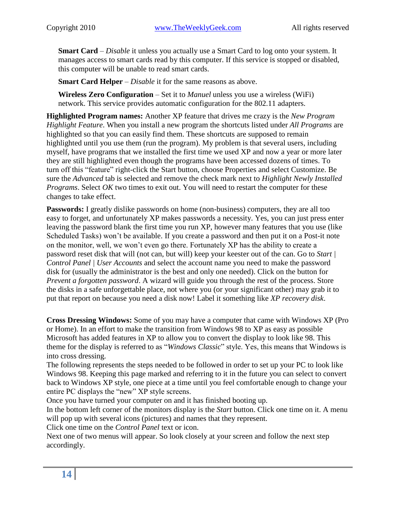**Smart Card** – *Disable* it unless you actually use a Smart Card to log onto your system. It manages access to smart cards read by this computer. If this service is stopped or disabled, this computer will be unable to read smart cards.

**Smart Card Helper** – *Disable* it for the same reasons as above.

**Wireless Zero Configuration** – Set it to *Manuel* unless you use a wireless (WiFi) network. This service provides automatic configuration for the 802.11 adapters.

**Highlighted Program names:** Another XP feature that drives me crazy is the *New Program Highlight Feature*. When you install a new program the shortcuts listed under *All Programs* are highlighted so that you can easily find them. These shortcuts are supposed to remain highlighted until you use them (run the program). My problem is that several users, including myself, have programs that we installed the first time we used XP and now a year or more later they are still highlighted even though the programs have been accessed dozens of times. To turn off this "feature" right-click the Start button, choose Properties and select Customize. Be sure the *Advanced* tab is selected and remove the check mark next to *Highlight Newly Installed Programs*. Select *OK* two times to exit out. You will need to restart the computer for these changes to take effect.

**Passwords:** I greatly dislike passwords on home (non-business) computers, they are all too easy to forget, and unfortunately XP makes passwords a necessity. Yes, you can just press enter leaving the password blank the first time you run XP, however many features that you use (like Scheduled Tasks) won't be available. If you create a password and then put it on a Post-it note on the monitor, well, we won't even go there. Fortunately XP has the ability to create a password reset disk that will (not can, but will) keep your keester out of the can. Go to *Start | Control Panel | User Accounts* and select the account name you need to make the password disk for (usually the administrator is the best and only one needed). Click on the button for *Prevent a forgotten password*. A wizard will guide you through the rest of the process. Store the disks in a safe unforgettable place, not where you (or your significant other) may grab it to put that report on because you need a disk now! Label it something like *XP recovery disk*.

**Cross Dressing Windows:** Some of you may have a computer that came with Windows XP (Pro or Home). In an effort to make the transition from Windows 98 to XP as easy as possible Microsoft has added features in XP to allow you to convert the display to look like 98. This theme for the display is referred to as "*Windows Classic*" style. Yes, this means that Windows is into cross dressing.

The following represents the steps needed to be followed in order to set up your PC to look like Windows 98. Keeping this page marked and referring to it in the future you can select to convert back to Windows XP style, one piece at a time until you feel comfortable enough to change your entire PC displays the "new" XP style screens.

Once you have turned your computer on and it has finished booting up.

In the bottom left corner of the monitors display is the *Start* button. Click one time on it. A menu will pop up with several icons (pictures) and names that they represent.

Click one time on the *Control Panel* text or icon.

Next one of two menus will appear. So look closely at your screen and follow the next step accordingly.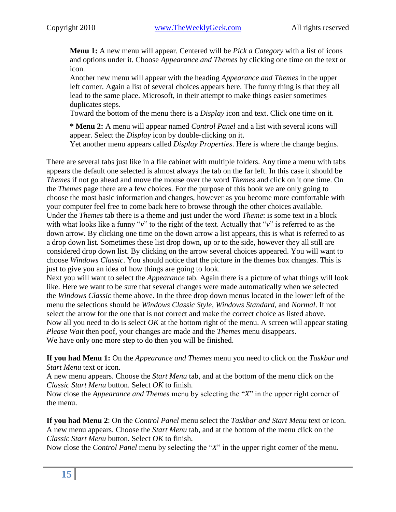**Menu 1:** A new menu will appear. Centered will be *Pick a Category* with a list of icons and options under it. Choose *Appearance and Themes* by clicking one time on the text or icon.

Another new menu will appear with the heading *Appearance and Themes* in the upper left corner. Again a list of several choices appears here. The funny thing is that they all lead to the same place. Microsoft, in their attempt to make things easier sometimes duplicates steps.

Toward the bottom of the menu there is a *Display* icon and text. Click one time on it.

**\* Menu 2:** A menu will appear named *Control Panel* and a list with several icons will appear. Select the *Display* icon by double-clicking on it.

Yet another menu appears called *Display Properties*. Here is where the change begins.

There are several tabs just like in a file cabinet with multiple folders. Any time a menu with tabs appears the default one selected is almost always the tab on the far left. In this case it should be *Themes* if not go ahead and move the mouse over the word *Themes* and click on it one time. On the *Themes* page there are a few choices. For the purpose of this book we are only going to choose the most basic information and changes, however as you become more comfortable with your computer feel free to come back here to browse through the other choices available. Under the *Themes* tab there is a theme and just under the word *Theme*: is some text in a block with what looks like a funny "*v*" to the right of the text. Actually that "*v*" is referred to as the down arrow. By clicking one time on the down arrow a list appears, this is what is referred to as a drop down list. Sometimes these list drop down, up or to the side, however they all still are considered drop down list. By clicking on the arrow several choices appeared. You will want to choose *Windows Classic*. You should notice that the picture in the themes box changes. This is just to give you an idea of how things are going to look.

Next you will want to select the *Appearance* tab. Again there is a picture of what things will look like. Here we want to be sure that several changes were made automatically when we selected the *Windows Classic* theme above. In the three drop down menus located in the lower left of the menu the selections should be *Windows Classic Style*, *Windows Standard*, and *Normal*. If not select the arrow for the one that is not correct and make the correct choice as listed above. Now all you need to do is select *OK* at the bottom right of the menu. A screen will appear stating *Please Wait* then poof, your changes are made and the *Themes* menu disappears. We have only one more step to do then you will be finished.

**If you had Menu 1:** On the *Appearance and Themes* menu you need to click on the *Taskbar and Start Menu* text or icon.

A new menu appears. Choose the *Start Menu* tab, and at the bottom of the menu click on the *Classic Start Menu* button. Select *OK* to finish.

Now close the *Appearance and Themes* menu by selecting the "*X*" in the upper right corner of the menu.

**If you had Menu 2**: On the *Control Panel* menu select the *Taskbar and Start Menu* text or icon. A new menu appears. Choose the *Start Menu* tab, and at the bottom of the menu click on the *Classic Start Menu* button. Select *OK* to finish.

Now close the *Control Panel* menu by selecting the "*X*" in the upper right corner of the menu.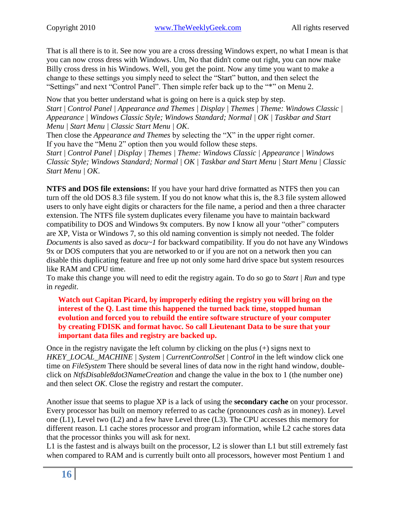That is all there is to it. See now you are a cross dressing Windows expert, no what I mean is that you can now cross dress with Windows. Um, No that didn't come out right, you can now make Billy cross dress in his Windows. Well, you get the point. Now any time you want to make a change to these settings you simply need to select the "Start" button, and then select the "Settings" and next "Control Panel". Then simple refer back up to the "\*" on Menu 2.

Now that you better understand what is going on here is a quick step by step. *Start | Control Panel | Appearance and Themes | Display | Themes | Theme: Windows Classic | Appearance | Windows Classic Style; Windows Standard; Normal | OK | Taskbar and Start Menu | Start Menu | Classic Start Menu | OK*.

Then close the *Appearance and Themes* by selecting the "X" in the upper right corner. If you have the "Menu 2" option then you would follow these steps.

*Start | Control Panel | Display | Themes | Theme: Windows Classic | Appearance | Windows Classic Style; Windows Standard; Normal | OK | Taskbar and Start Menu | Start Menu | Classic Start Menu | OK*.

**NTFS and DOS file extensions:** If you have your hard drive formatted as NTFS then you can turn off the old DOS 8.3 file system. If you do not know what this is, the 8.3 file system allowed users to only have eight digits or characters for the file name, a period and then a three character extension. The NTFS file system duplicates every filename you have to maintain backward compatibility to DOS and Windows 9x computers. By now I know all your "other" computers are XP, Vista or Windows 7, so this old naming convention is simply not needed. The folder *Documents* is also saved as *docu~1* for backward compatibility. If you do not have any Windows 9x or DOS computers that you are networked to or if you are not on a network then you can disable this duplicating feature and free up not only some hard drive space but system resources like RAM and CPU time.

To make this change you will need to edit the registry again. To do so go to *Start | Run* and type in *regedit*.

**Watch out Capitan Picard, by improperly editing the registry you will bring on the interest of the Q. Last time this happened the turned back time, stopped human evolution and forced you to rebuild the entire software structure of your computer by creating FDISK and format havoc. So call Lieutenant Data to be sure that your important data files and registry are backed up.**

Once in the registry navigate the left column by clicking on the plus (+) signs next to *HKEY\_LOCAL\_MACHINE | System | CurrentControlSet | Control* in the left window click one time on *FileSystem* There should be several lines of data now in the right hand window, doubleclick on *NtfsDisable8dot3NameCreation* and change the value in the box to 1 (the number one) and then select *OK*. Close the registry and restart the computer.

Another issue that seems to plague XP is a lack of using the **secondary cache** on your processor. Every processor has built on memory referred to as cache (pronounces *cash* as in money). Level one (L1), Level two (L2) and a few have Level three (L3). The CPU accesses this memory for different reason. L1 cache stores processor and program information, while L2 cache stores data that the processor thinks you will ask for next.

L1 is the fastest and is always built on the processor, L2 is slower than L1 but still extremely fast when compared to RAM and is currently built onto all processors, however most Pentium 1 and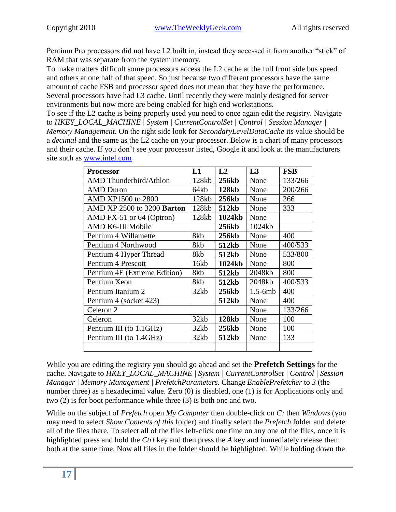Pentium Pro processors did not have L2 built in, instead they accessed it from another "stick" of RAM that was separate from the system memory.

To make matters difficult some processors access the L2 cache at the full front side bus speed and others at one half of that speed. So just because two different processors have the same amount of cache FSB and processor speed does not mean that they have the performance. Several processors have had L3 cache. Until recently they were mainly designed for server environments but now more are being enabled for high end workstations.

To see if the L2 cache is being properly used you need to once again edit the registry. Navigate to *HKEY\_LOCAL\_MACHINE | System | CurrentControlSet | Control | Session Manager | Memory Management*. On the right side look for *SecondaryLevelDataCache* its value should be a *decimal* and the same as the L2 cache on your processor. Below is a chart of many processors and their cache. If you don't see your processor listed, Google it and look at the manufacturers site such as [www.intel.com](http://www.intel.com/)

| <b>Processor</b>              | L1    | L2           | L3        | <b>FSB</b> |
|-------------------------------|-------|--------------|-----------|------------|
| <b>AMD</b> Thunderbird/Athlon | 128kb | <b>256kb</b> | None      | 133/266    |
| AMD Duron                     | 64kb  | <b>128kb</b> | None      | 200/266    |
| AMD XP1500 to 2800            | 128kb | 256kb        | None      | 266        |
| AMD XP 2500 to 3200 Barton    | 128kb | 512kb        | None      | 333        |
| AMD FX-51 or 64 (Optron)      | 128kb | 1024kb       | None      |            |
| AMD K6-III Mobile             |       | <b>256kb</b> | 1024kb    |            |
| Pentium 4 Willamette          | 8kb   | <b>256kb</b> | None      | 400        |
| Pentium 4 Northwood           | 8kb   | 512kb        | None      | 400/533    |
| Pentium 4 Hyper Thread        | 8kb   | 512kb        | None      | 533/800    |
| Pentium 4 Prescott            | 16kb  | 1024kb       | None      | 800        |
| Pentium 4E (Extreme Edition)  | 8kb   | 512kb        | 2048kb    | 800        |
| Pentium Xeon                  | 8kb   | 512kb        | 2048kb    | 400/533    |
| Pentium Itanium 2             | 32kb  | <b>256kb</b> | $1.5-6mb$ | 400        |
| Pentium 4 (socket 423)        |       | 512kb        | None      | 400        |
| Celeron <sub>2</sub>          |       |              | None      | 133/266    |
| Celeron                       | 32kb  | <b>128kb</b> | None      | 100        |
| Pentium III (to 1.1GHz)       | 32kb  | <b>256kb</b> | None      | 100        |
| Pentium III (to 1.4GHz)       | 32kb  | 512kb        | None      | 133        |
|                               |       |              |           |            |

While you are editing the registry you should go ahead and set the **Prefetch Settings** for the cache. Navigate to *HKEY\_LOCAL\_MACHINE | System | CurrentControlSet | Control | Session Manager | Memory Management | PrefetchParameters.* Change *EnablePrefetcher* to *3* (the number three) as a hexadecimal value. Zero (0) is disabled, one (1) is for Applications only and two (2) is for boot performance while three (3) is both one and two.

While on the subject of *Prefetch* open *My Computer* then double-click on *C:* then *Windows* (you may need to select *Show Contents of this* folder) and finally select the *Prefetch* folder and delete all of the files there. To select all of the files left-click one time on any one of the files, once it is highlighted press and hold the *Ctrl* key and then press the *A* key and immediately release them both at the same time. Now all files in the folder should be highlighted. While holding down the